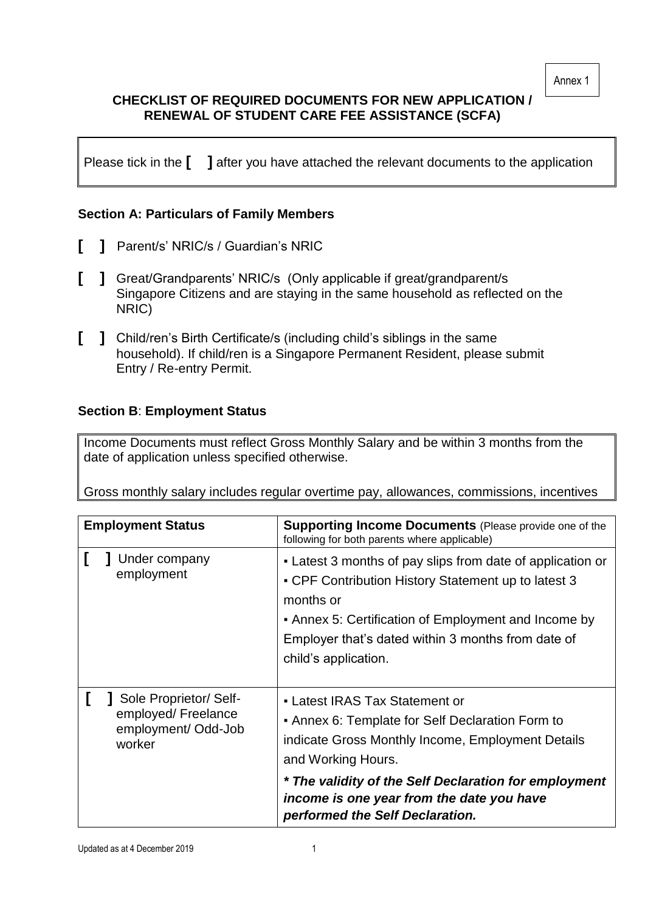Annex 1

# **CHECKLIST OF REQUIRED DOCUMENTS FOR NEW APPLICATION / RENEWAL OF STUDENT CARE FEE ASSISTANCE (SCFA)**

Please tick in the **[ ]** after you have attached the relevant documents to the application

## **Section A: Particulars of Family Members**

- **[ ]** Parent/s' NRIC/s / Guardian's NRIC
- **[ ]** Great/Grandparents' NRIC/s (Only applicable if great/grandparent/s Singapore Citizens and are staying in the same household as reflected on the NRIC)
- **[ ]** Child/ren's Birth Certificate/s (including child's siblings in the same household). If child/ren is a Singapore Permanent Resident, please submit Entry / Re-entry Permit.

## **Section B**: **Employment Status**

Income Documents must reflect Gross Monthly Salary and be within 3 months from the date of application unless specified otherwise.

Gross monthly salary includes regular overtime pay, allowances, commissions, incentives

| <b>Employment Status</b>                                                      | <b>Supporting Income Documents</b> (Please provide one of the<br>following for both parents where applicable)                                                                                                                                                                                          |
|-------------------------------------------------------------------------------|--------------------------------------------------------------------------------------------------------------------------------------------------------------------------------------------------------------------------------------------------------------------------------------------------------|
| Under company<br>employment                                                   | • Latest 3 months of pay slips from date of application or<br>• CPF Contribution History Statement up to latest 3<br>months or<br>• Annex 5: Certification of Employment and Income by<br>Employer that's dated within 3 months from date of<br>child's application.                                   |
| Sole Proprietor/ Self-<br>employed/ Freelance<br>employment/Odd-Job<br>worker | • Latest IRAS Tax Statement or<br>• Annex 6: Template for Self Declaration Form to<br>indicate Gross Monthly Income, Employment Details<br>and Working Hours.<br>* The validity of the Self Declaration for employment<br>income is one year from the date you have<br>performed the Self Declaration. |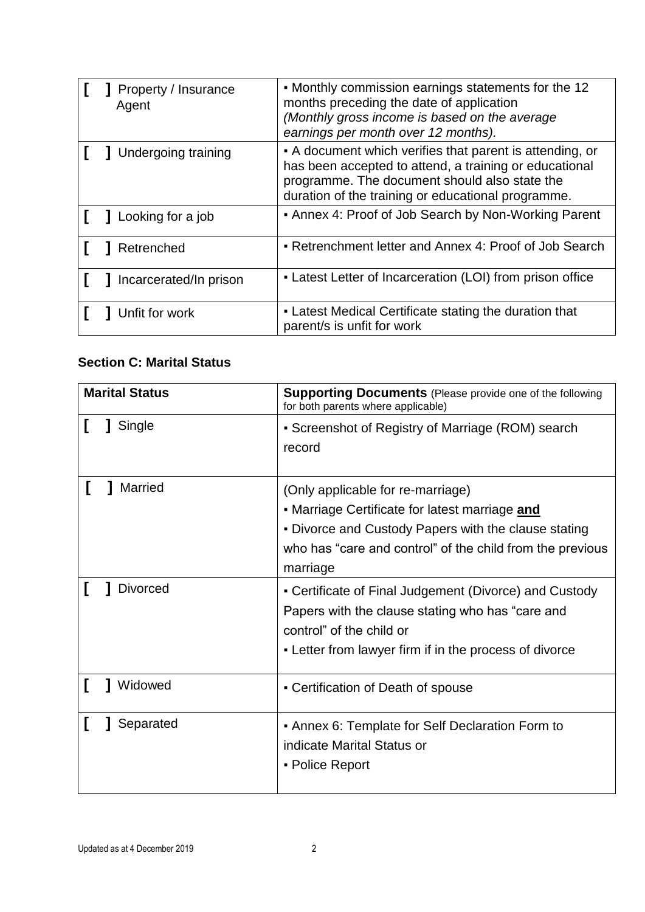| Property / Insurance<br>Agent | • Monthly commission earnings statements for the 12<br>months preceding the date of application<br>(Monthly gross income is based on the average<br>earnings per month over 12 months).                                   |
|-------------------------------|---------------------------------------------------------------------------------------------------------------------------------------------------------------------------------------------------------------------------|
| Undergoing training           | • A document which verifies that parent is attending, or<br>has been accepted to attend, a training or educational<br>programme. The document should also state the<br>duration of the training or educational programme. |
| Looking for a job             | • Annex 4: Proof of Job Search by Non-Working Parent                                                                                                                                                                      |
| Retrenched                    | • Retrenchment letter and Annex 4: Proof of Job Search                                                                                                                                                                    |
| Incarcerated/In prison        | • Latest Letter of Incarceration (LOI) from prison office                                                                                                                                                                 |
| Unfit for work                | • Latest Medical Certificate stating the duration that<br>parent/s is unfit for work                                                                                                                                      |

# **Section C: Marital Status**

| <b>Marital Status</b> | <b>Supporting Documents</b> (Please provide one of the following<br>for both parents where applicable)                                                                                                               |
|-----------------------|----------------------------------------------------------------------------------------------------------------------------------------------------------------------------------------------------------------------|
| Single                | • Screenshot of Registry of Marriage (ROM) search<br>record                                                                                                                                                          |
| <b>Married</b>        | (Only applicable for re-marriage)<br>• Marriage Certificate for latest marriage and<br>. Divorce and Custody Papers with the clause stating<br>who has "care and control" of the child from the previous<br>marriage |
| <b>Divorced</b>       | • Certificate of Final Judgement (Divorce) and Custody<br>Papers with the clause stating who has "care and<br>control" of the child or<br>- Letter from lawyer firm if in the process of divorce                     |
| Widowed               | - Certification of Death of spouse                                                                                                                                                                                   |
| Separated             | • Annex 6: Template for Self Declaration Form to<br>indicate Marital Status or<br>• Police Report                                                                                                                    |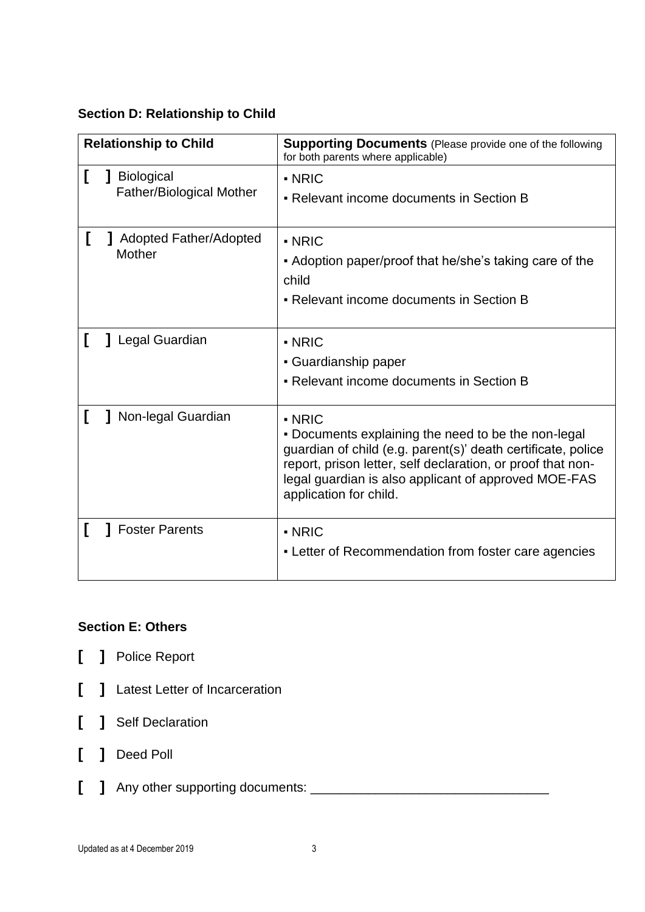#### **Section D: Relationship to Child**

| <b>Relationship to Child</b> |                                                      | <b>Supporting Documents</b> (Please provide one of the following<br>for both parents where applicable)                                                                                                                                                                                      |
|------------------------------|------------------------------------------------------|---------------------------------------------------------------------------------------------------------------------------------------------------------------------------------------------------------------------------------------------------------------------------------------------|
|                              | <b>Biological</b><br><b>Father/Biological Mother</b> | - NRIC<br>• Relevant income documents in Section B                                                                                                                                                                                                                                          |
|                              | <b>J</b> Adopted Father/Adopted<br>Mother            | $\blacksquare$ NRIC<br>• Adoption paper/proof that he/she's taking care of the<br>child<br>• Relevant income documents in Section B                                                                                                                                                         |
|                              | Legal Guardian                                       | $\blacksquare$ NRIC<br>• Guardianship paper<br>• Relevant income documents in Section B                                                                                                                                                                                                     |
|                              | Non-legal Guardian                                   | $\blacksquare$ NRIC<br>. Documents explaining the need to be the non-legal<br>guardian of child (e.g. parent(s)' death certificate, police<br>report, prison letter, self declaration, or proof that non-<br>legal guardian is also applicant of approved MOE-FAS<br>application for child. |
|                              | <b>Foster Parents</b>                                | $\blacksquare$ NRIC<br>- Letter of Recommendation from foster care agencies                                                                                                                                                                                                                 |

## **Section E: Others**

- **[ ]** Police Report
- **[ ]** Latest Letter of Incarceration
- **[ ]** Self Declaration
- **[ ]** Deed Poll
- **[ ]** Any other supporting documents: \_\_\_\_\_\_\_\_\_\_\_\_\_\_\_\_\_\_\_\_\_\_\_\_\_\_\_\_\_\_\_\_\_